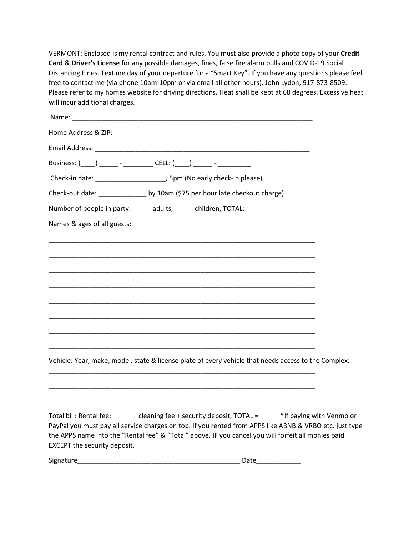VERMONT: Enclosed is my rental contract and rules. You must also provide a photo copy of your **Credit Card & Driver's License** for any possible damages, fines, false fire alarm pulls and COVID-19 Social Distancing Fines. Text me day of your departure for a "Smart Key". If you have any questions please feel free to contact me (via phone 10am-10pm or via email all other hours). John Lydon, 917-873-8509. Please refer to my homes website for driving directions. Heat shall be kept at 68 degrees. Excessive heat will incur additional charges.

| Business: (_____) ______ - ___________ CELL: (_____) ______ - ___________                                                                                                                               |  |
|---------------------------------------------------------------------------------------------------------------------------------------------------------------------------------------------------------|--|
|                                                                                                                                                                                                         |  |
| Check-out date: ________________ by 10am (\$75 per hour late checkout charge)                                                                                                                           |  |
| Number of people in party: _____ adults, _____ children, TOTAL: ________                                                                                                                                |  |
| Names & ages of all guests:                                                                                                                                                                             |  |
|                                                                                                                                                                                                         |  |
|                                                                                                                                                                                                         |  |
|                                                                                                                                                                                                         |  |
|                                                                                                                                                                                                         |  |
|                                                                                                                                                                                                         |  |
|                                                                                                                                                                                                         |  |
|                                                                                                                                                                                                         |  |
|                                                                                                                                                                                                         |  |
| Vehicle: Year, make, model, state & license plate of every vehicle that needs access to the Complex:                                                                                                    |  |
|                                                                                                                                                                                                         |  |
|                                                                                                                                                                                                         |  |
|                                                                                                                                                                                                         |  |
| Total bill: Rental fee: + cleaning fee + security deposit, TOTAL = * If paying with Venmo or<br>PayPal you must pay all service charges on top. If you rented from APPS like ABNB & VRBO etc. just type |  |
| the APPS name into the "Rental fee" & "Total" above. IF you cancel you will forfeit all monies paid                                                                                                     |  |

Signature\_\_\_\_\_\_\_\_\_\_\_\_\_\_\_\_\_\_\_\_\_\_\_\_\_\_\_\_\_\_\_\_\_\_\_\_\_\_\_\_\_\_\_\_ Date\_\_\_\_\_\_\_\_\_\_\_\_

EXCEPT the security deposit.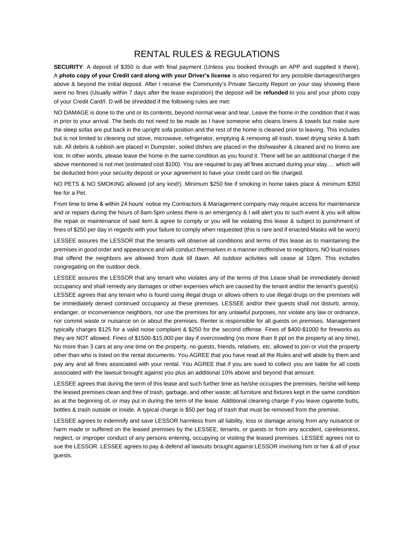## RENTAL RULES & REGULATIONS

**SECURITY**: A deposit of \$350 is due with final payment (Unless you booked through an APP and supplied it there). A **photo copy of your Credit card along with your Driver's license** is also required for any possible damages/charges above & beyond the initial deposit. After I receive the Community's Private Security Report on your stay showing there were no fines (Usually within 7 days after the lease expiration) the deposit will be **refunded** to you and your photo copy of your Credit Card/I. D will be shredded if the following rules are met:

NO DAMAGE is done to the unit or its contents, beyond normal wear and tear. Leave the home in the condition that it was in prior to your arrival. The beds do not need to be made as I have someone who cleans linens & towels but make sure the sleep sofas are put back in the upright sofa position and the rest of the home is cleaned prior to leaving. This includes but is not limited to cleaning out stove, microwave, refrigerator, emptying & removing all trash, towel drying sinks & bath tub. All debris & rubbish are placed in Dumpster, soiled dishes are placed in the dishwasher & cleaned and no linens are lost. In other words, please leave the home in the same condition as you found it. There will be an additional charge if the above mentioned is not met (estimated cost \$100). You are required to pay all fines accrued during your stay.… which will be deducted from your security deposit or your agreement to have your credit card on file charged.

NO PETS & NO SMOKING allowed (of any kind!). Minimum \$250 fee if smoking in home takes place & minimum \$350 fee for a Pet.

From time to time & within 24 hours' notice my Contractors & Management company may require access for maintenance and or repairs during the hours of 8am-5pm unless there is an emergency & I will alert you to such event & you will allow the repair or maintenance of said item & agree to comply or you will be violating this lease & subject to punishment of fines of \$250 per day in regards with your failure to comply when requested (this is rare and if enacted Masks will be worn)

LESSEE assures the LESSOR that the tenants will observe all conditions and terms of this lease as to maintaining the premises in good order and appearance and will conduct themselves in a manner inoffensive to neighbors. NO loud noises that offend the neighbors are allowed from dusk till dawn. All outdoor activities will cease at 10pm. This includes congregating on the outdoor deck.

LESSEE assures the LESSOR that any tenant who violates any of the terms of this Lease shall be immediately denied occupancy and shall remedy any damages or other expenses which are caused by the tenant and/or the tenant's guest(s). LESSEE agrees that any tenant who is found using illegal drugs or allows others to use illegal drugs on the premises will be immediately denied continued occupancy at these premises. LESSEE and/or their guests shall not disturb, annoy, endanger, or inconvenience neighbors, nor use the premises for any unlawful purposes, nor violate any law or ordnance, nor commit waste or nuisance on or about the premises. Renter is responsible for all guests on premises. Management typically charges \$125 for a valid noise complaint & \$250 for the second offense. Fines of \$400-\$1000 for fireworks as they are NOT allowed. Fines of \$1500-\$15,000 per day if overcrowding (no more than 8 ppl on the property at any time), No more than 3 cars at any one time on the property, no guests, friends, relatives, etc. allowed to join or visit the property other than who is listed on the rental documents. You AGREE that you have read all the Rules and will abide by them and pay any and all fines associated with your rental. You AGREE that if you are sued to collect you are liable for all costs associated with the lawsuit brought against you plus an additional 10% above and beyond that amount.

LESSEE agrees that during the term of this lease and such further time as he/she occupies the premises, he/she will keep the leased premises clean and free of trash, garbage, and other waste; all furniture and fixtures kept in the same condition as at the beginning of, or may put in during the term of the lease. Additional cleaning charge if you leave cigarette butts, bottles & trash outside or inside. A typical charge is \$50 per bag of trash that must be removed from the premise.

LESSEE agrees to indemnify and save LESSOR harmless from all liability, loss or damage arising from any nuisance or harm made or suffered on the leased premises by the LESSEE, tenants, or guests or from any accident, carelessness, neglect, or improper conduct of any persons entering, occupying or visiting the leased premises. LESSEE agrees not to sue the LESSOR. LESSEE agrees to pay & defend all lawsuits brought against LESSOR involving him or her & all of your guests.